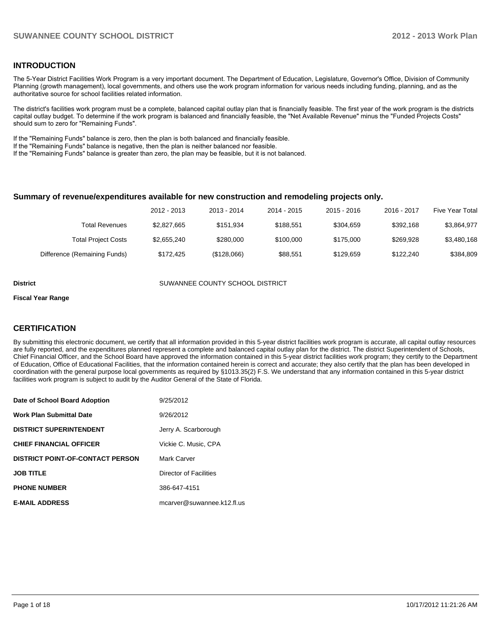#### **INTRODUCTION**

The 5-Year District Facilities Work Program is a very important document. The Department of Education, Legislature, Governor's Office, Division of Community Planning (growth management), local governments, and others use the work program information for various needs including funding, planning, and as the authoritative source for school facilities related information.

The district's facilities work program must be a complete, balanced capital outlay plan that is financially feasible. The first year of the work program is the districts capital outlay budget. To determine if the work program is balanced and financially feasible, the "Net Available Revenue" minus the "Funded Projects Costs" should sum to zero for "Remaining Funds".

If the "Remaining Funds" balance is zero, then the plan is both balanced and financially feasible.

If the "Remaining Funds" balance is negative, then the plan is neither balanced nor feasible.

If the "Remaining Funds" balance is greater than zero, the plan may be feasible, but it is not balanced.

#### **Summary of revenue/expenditures available for new construction and remodeling projects only.**

| Five Year Total | 2016 - 2017 | $2015 - 2016$ | 2014 - 2015 | 2013 - 2014 | 2012 - 2013 |                              |
|-----------------|-------------|---------------|-------------|-------------|-------------|------------------------------|
| \$3,864,977     | \$392.168   | \$304.659     | \$188.551   | \$151.934   | \$2,827,665 | Total Revenues               |
| \$3,480,168     | \$269.928   | \$175,000     | \$100,000   | \$280,000   | \$2.655.240 | <b>Total Project Costs</b>   |
| \$384.809       | \$122,240   | \$129.659     | \$88.551    | (\$128,066) | \$172.425   | Difference (Remaining Funds) |

**District COUNTY SUMANNEE COUNTY SCHOOL DISTRICT** 

#### **Fiscal Year Range**

#### **CERTIFICATION**

By submitting this electronic document, we certify that all information provided in this 5-year district facilities work program is accurate, all capital outlay resources are fully reported, and the expenditures planned represent a complete and balanced capital outlay plan for the district. The district Superintendent of Schools, Chief Financial Officer, and the School Board have approved the information contained in this 5-year district facilities work program; they certify to the Department of Education, Office of Educational Facilities, that the information contained herein is correct and accurate; they also certify that the plan has been developed in coordination with the general purpose local governments as required by §1013.35(2) F.S. We understand that any information contained in this 5-year district facilities work program is subject to audit by the Auditor General of the State of Florida.

| Date of School Board Adoption           | 9/25/2012                  |
|-----------------------------------------|----------------------------|
| <b>Work Plan Submittal Date</b>         | 9/26/2012                  |
| <b>DISTRICT SUPERINTENDENT</b>          | Jerry A. Scarborough       |
| <b>CHIEF FINANCIAL OFFICER</b>          | Vickie C. Music. CPA       |
| <b>DISTRICT POINT-OF-CONTACT PERSON</b> | Mark Carver                |
| <b>JOB TITLE</b>                        | Director of Facilities     |
| <b>PHONE NUMBER</b>                     | 386-647-4151               |
| <b>E-MAIL ADDRESS</b>                   | mcarver@suwannee.k12.fl.us |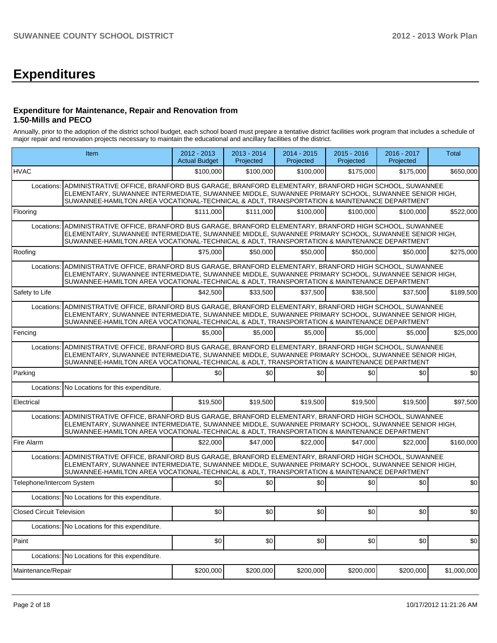# **Expenditures**

#### **Expenditure for Maintenance, Repair and Renovation from 1.50-Mills and PECO**

Annually, prior to the adoption of the district school budget, each school board must prepare a tentative district facilities work program that includes a schedule of major repair and renovation projects necessary to maintain the educational and ancillary facilities of the district.

|                                  | Item                                                                                                                                                                                                                                                                                                            | 2012 - 2013<br><b>Actual Budget</b> | $2013 - 2014$<br>Projected | 2014 - 2015<br>Projected | $2015 - 2016$<br>Projected | 2016 - 2017<br>Projected | Total       |  |  |  |
|----------------------------------|-----------------------------------------------------------------------------------------------------------------------------------------------------------------------------------------------------------------------------------------------------------------------------------------------------------------|-------------------------------------|----------------------------|--------------------------|----------------------------|--------------------------|-------------|--|--|--|
| <b>HVAC</b>                      |                                                                                                                                                                                                                                                                                                                 | \$100,000                           | \$100,000                  | \$100,000                | \$175,000                  | \$175,000                | \$650,000   |  |  |  |
| Locations:                       | ADMINISTRATIVE OFFICE, BRANFORD BUS GARAGE, BRANFORD ELEMENTARY, BRANFORD HIGH SCHOOL, SUWANNEE<br>ELEMENTARY, SUWANNEE INTERMEDIATE, SUWANNEE MIDDLE, SUWANNEE PRIMARY SCHOOL, SUWANNEE SENIOR HIGH,<br>SUWANNEE-HAMILTON AREA VOCATIONAL-TECHNICAL & ADLT, TRANSPORTATION & MAINTENANCE DEPARTMENT            |                                     |                            |                          |                            |                          |             |  |  |  |
| Flooring                         |                                                                                                                                                                                                                                                                                                                 | \$111,000                           | \$111,000                  | \$100,000                | \$100,000                  | \$100,000                | \$522,000   |  |  |  |
| Locations:                       | ADMINISTRATIVE OFFICE, BRANFORD BUS GARAGE, BRANFORD ELEMENTARY, BRANFORD HIGH SCHOOL, SUWANNEE<br>ELEMENTARY, SUWANNEE INTERMEDIATE, SUWANNEE MIDDLE, SUWANNEE PRIMARY SCHOOL, SUWANNEE SENIOR HIGH,<br>SUWANNEE-HAMILTON AREA VOCATIONAL-TECHNICAL & ADLT, TRANSPORTATION & MAINTENANCE DEPARTMENT            |                                     |                            |                          |                            |                          |             |  |  |  |
| Roofing                          |                                                                                                                                                                                                                                                                                                                 | \$75,000                            | \$50,000                   | \$50,000                 | \$50,000                   | \$50,000                 | \$275,000   |  |  |  |
|                                  | Locations: ADMINISTRATIVE OFFICE, BRANFORD BUS GARAGE, BRANFORD ELEMENTARY, BRANFORD HIGH SCHOOL, SUWANNEE<br>ELEMENTARY, SUWANNEE INTERMEDIATE, SUWANNEE MIDDLE, SUWANNEE PRIMARY SCHOOL, SUWANNEE SENIOR HIGH,<br>SUWANNEE-HAMILTON AREA VOCATIONAL-TECHNICAL & ADLT, TRANSPORTATION & MAINTENANCE DEPARTMENT |                                     |                            |                          |                            |                          |             |  |  |  |
| Safety to Life                   |                                                                                                                                                                                                                                                                                                                 | \$42,500                            | \$33,500                   | \$37,500                 | \$38,500                   | \$37,500                 | \$189,500   |  |  |  |
| Locations:                       | ADMINISTRATIVE OFFICE, BRANFORD BUS GARAGE, BRANFORD ELEMENTARY, BRANFORD HIGH SCHOOL, SUWANNEE<br>ELEMENTARY, SUWANNEE INTERMEDIATE, SUWANNEE MIDDLE, SUWANNEE PRIMARY SCHOOL, SUWANNEE SENIOR HIGH,<br>SUWANNEE-HAMILTON AREA VOCATIONAL-TECHNICAL & ADLT, TRANSPORTATION & MAINTENANCE DEPARTMENT            |                                     |                            |                          |                            |                          |             |  |  |  |
| Fencing                          |                                                                                                                                                                                                                                                                                                                 | \$5,000                             | \$5,000                    | \$5,000                  | \$5,000                    | \$5,000                  | \$25,000    |  |  |  |
| Locations:                       | ADMINISTRATIVE OFFICE, BRANFORD BUS GARAGE, BRANFORD ELEMENTARY, BRANFORD HIGH SCHOOL, SUWANNEE<br>ELEMENTARY, SUWANNEE INTERMEDIATE, SUWANNEE MIDDLE, SUWANNEE PRIMARY SCHOOL, SUWANNEE SENIOR HIGH,<br>SUWANNEE-HAMILTON AREA VOCATIONAL-TECHNICAL & ADLT, TRANSPORTATION & MAINTENANCE DEPARTMENT            |                                     |                            |                          |                            |                          |             |  |  |  |
| Parking                          |                                                                                                                                                                                                                                                                                                                 | \$0                                 | \$0                        | \$0                      | \$0                        | \$0                      | \$0         |  |  |  |
|                                  | Locations: No Locations for this expenditure.                                                                                                                                                                                                                                                                   |                                     |                            |                          |                            |                          |             |  |  |  |
| Electrical                       |                                                                                                                                                                                                                                                                                                                 | \$19,500                            | \$19,500                   | \$19,500                 | \$19,500                   | \$19,500                 | \$97,500    |  |  |  |
| Locations:                       | ADMINISTRATIVE OFFICE, BRANFORD BUS GARAGE, BRANFORD ELEMENTARY, BRANFORD HIGH SCHOOL, SUWANNEE<br>ELEMENTARY, SUWANNEE INTERMEDIATE, SUWANNEE MIDDLE, SUWANNEE PRIMARY SCHOOL, SUWANNEE SENIOR HIGH,<br>SUWANNEE-HAMILTON AREA VOCATIONAL-TECHNICAL & ADLT, TRANSPORTATION & MAINTENANCE DEPARTMENT            |                                     |                            |                          |                            |                          |             |  |  |  |
| Fire Alarm                       |                                                                                                                                                                                                                                                                                                                 | \$22,000                            | \$47,000                   | \$22,000                 | \$47,000                   | \$22,000                 | \$160,000   |  |  |  |
|                                  | Locations: ADMINISTRATIVE OFFICE, BRANFORD BUS GARAGE, BRANFORD ELEMENTARY, BRANFORD HIGH SCHOOL, SUWANNEE<br>ELEMENTARY, SUWANNEE INTERMEDIATE, SUWANNEE MIDDLE, SUWANNEE PRIMARY SCHOOL, SUWANNEE SENIOR HIGH,<br>SUWANNEE-HAMILTON AREA VOCATIONAL-TECHNICAL & ADLT, TRANSPORTATION & MAINTENANCE DEPARTMENT |                                     |                            |                          |                            |                          |             |  |  |  |
| Telephone/Intercom System        |                                                                                                                                                                                                                                                                                                                 | \$0                                 | \$0                        | \$0                      | \$0                        | \$0                      | \$0         |  |  |  |
|                                  | Locations: No Locations for this expenditure.                                                                                                                                                                                                                                                                   |                                     |                            |                          |                            |                          |             |  |  |  |
| <b>Closed Circuit Television</b> |                                                                                                                                                                                                                                                                                                                 | \$0                                 | \$0]                       | \$0]                     | \$0                        | \$0]                     | \$0         |  |  |  |
|                                  | Locations: No Locations for this expenditure.                                                                                                                                                                                                                                                                   |                                     |                            |                          |                            |                          |             |  |  |  |
| Paint                            |                                                                                                                                                                                                                                                                                                                 | \$0                                 | \$0                        | \$0                      | \$0                        | \$0                      | \$0         |  |  |  |
|                                  | Locations: No Locations for this expenditure.                                                                                                                                                                                                                                                                   |                                     |                            |                          |                            |                          |             |  |  |  |
| Maintenance/Repair               |                                                                                                                                                                                                                                                                                                                 | \$200,000                           | \$200,000                  | \$200,000                | \$200,000                  | \$200,000                | \$1,000,000 |  |  |  |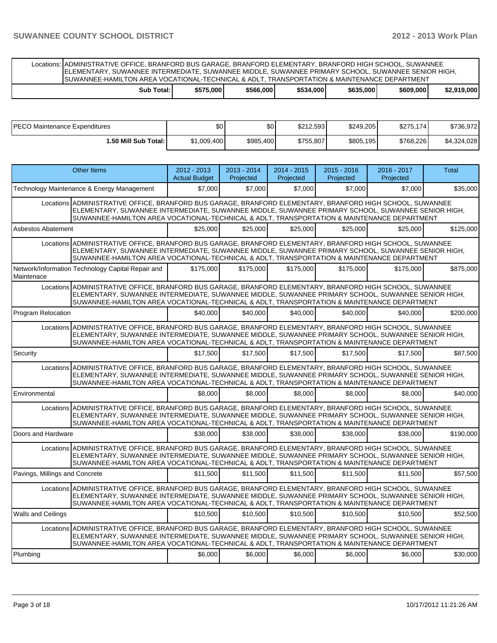Locations: ADMINISTRATIVE OFFICE, BRANFORD BUS GARAGE, BRANFORD ELEMENTARY, BRANFORD HIGH SCHOOL, SUWANNEE ELEMENTARY, SUWANNEE INTERMEDIATE, SUWANNEE MIDDLE, SUWANNEE PRIMARY SCHOOL, SUWANNEE SENIOR HIGH, SUWANNEE-HAMILTON AREA VOCATIONAL-TECHNICAL & ADLT, TRANSPORTATION & MAINTENANCE DEPARTMENT

|  |  | Total:<br>Sub | \$575.000 | \$566,000 | \$534,000 | \$635,000 | \$609,000 | 19.000<br><b>¢ኅ 040</b><br>-02. |
|--|--|---------------|-----------|-----------|-----------|-----------|-----------|---------------------------------|
|--|--|---------------|-----------|-----------|-----------|-----------|-----------|---------------------------------|

| <b>PECO Maintenance Expenditures</b> | \$0         | ሖ<br>υŒ   | \$212.593 | \$249.205 | \$275.174 | \$736.972   |
|--------------------------------------|-------------|-----------|-----------|-----------|-----------|-------------|
| 50 Mill Sub Total: I                 | \$1,009,400 | \$985,400 | \$755,807 | \$805,195 | \$768,226 | \$4,324,028 |

|                                | Other Items                                                                                                                                                                                                                                                                                                    | $2012 - 2013$<br><b>Actual Budget</b> | $2013 - 2014$<br>Projected | 2014 - 2015<br>Projected | $2015 - 2016$<br>Projected | 2016 - 2017<br>Projected | <b>Total</b> |
|--------------------------------|----------------------------------------------------------------------------------------------------------------------------------------------------------------------------------------------------------------------------------------------------------------------------------------------------------------|---------------------------------------|----------------------------|--------------------------|----------------------------|--------------------------|--------------|
|                                | Technology Maintenance & Energy Management                                                                                                                                                                                                                                                                     | \$7.000                               | \$7,000                    | \$7.000                  | \$7,000                    | \$7,000                  | \$35,000     |
|                                | Locations ADMINISTRATIVE OFFICE, BRANFORD BUS GARAGE, BRANFORD ELEMENTARY, BRANFORD HIGH SCHOOL, SUWANNEE<br>ELEMENTARY, SUWANNEE INTERMEDIATE, SUWANNEE MIDDLE, SUWANNEE PRIMARY SCHOOL, SUWANNEE SENIOR HIGH,<br>SUWANNEE-HAMILTON AREA VOCATIONAL-TECHNICAL & ADLT, TRANSPORTATION & MAINTENANCE DEPARTMENT |                                       |                            |                          |                            |                          |              |
| <b>Asbestos Abatement</b>      |                                                                                                                                                                                                                                                                                                                | \$25,000                              | \$25,000                   | \$25,000                 | \$25,000                   | \$25,000                 | \$125,000    |
|                                | Locations ADMINISTRATIVE OFFICE, BRANFORD BUS GARAGE, BRANFORD ELEMENTARY, BRANFORD HIGH SCHOOL, SUWANNEE<br>ELEMENTARY, SUWANNEE INTERMEDIATE, SUWANNEE MIDDLE, SUWANNEE PRIMARY SCHOOL, SUWANNEE SENIOR HIGH,<br>SUWANNEE-HAMILTON AREA VOCATIONAL-TECHNICAL & ADLT, TRANSPORTATION & MAINTENANCE DEPARTMENT |                                       |                            |                          |                            |                          |              |
| Maintenace                     | Network/Information Technology Capital Repair and                                                                                                                                                                                                                                                              | \$175,000                             | \$175,000                  | \$175,000                | \$175,000                  | \$175,000                | \$875,000    |
|                                | Locations ADMINISTRATIVE OFFICE, BRANFORD BUS GARAGE, BRANFORD ELEMENTARY, BRANFORD HIGH SCHOOL, SUWANNEE<br>ELEMENTARY, SUWANNEE INTERMEDIATE, SUWANNEE MIDDLE, SUWANNEE PRIMARY SCHOOL, SUWANNEE SENIOR HIGH,<br>SUWANNEE-HAMILTON AREA VOCATIONAL-TECHNICAL & ADLT, TRANSPORTATION & MAINTENANCE DEPARTMENT |                                       |                            |                          |                            |                          |              |
| Program Relocation             |                                                                                                                                                                                                                                                                                                                | \$40,000                              | \$40,000                   | \$40,000                 | \$40,000                   | \$40,000                 | \$200.000    |
|                                | Locations ADMINISTRATIVE OFFICE, BRANFORD BUS GARAGE, BRANFORD ELEMENTARY, BRANFORD HIGH SCHOOL, SUWANNEE<br>ELEMENTARY, SUWANNEE INTERMEDIATE, SUWANNEE MIDDLE, SUWANNEE PRIMARY SCHOOL, SUWANNEE SENIOR HIGH,<br>SUWANNEE-HAMILTON AREA VOCATIONAL-TECHNICAL & ADLT, TRANSPORTATION & MAINTENANCE DEPARTMENT |                                       |                            |                          |                            |                          |              |
| Security                       |                                                                                                                                                                                                                                                                                                                | \$17.500                              | \$17.500                   | \$17.500                 | \$17,500                   | \$17.500                 | \$87,500     |
|                                | Locations ADMINISTRATIVE OFFICE, BRANFORD BUS GARAGE, BRANFORD ELEMENTARY, BRANFORD HIGH SCHOOL, SUWANNEE<br>ELEMENTARY, SUWANNEE INTERMEDIATE, SUWANNEE MIDDLE, SUWANNEE PRIMARY SCHOOL, SUWANNEE SENIOR HIGH,<br>SUWANNEE-HAMILTON AREA VOCATIONAL-TECHNICAL & ADLT, TRANSPORTATION & MAINTENANCE DEPARTMENT |                                       |                            |                          |                            |                          |              |
| Environmental                  |                                                                                                                                                                                                                                                                                                                | \$8,000                               | \$8,000                    | \$8,000                  | \$8,000                    | \$8,000                  | \$40,000     |
|                                | Locations ADMINISTRATIVE OFFICE, BRANFORD BUS GARAGE, BRANFORD ELEMENTARY, BRANFORD HIGH SCHOOL, SUWANNEE<br>ELEMENTARY, SUWANNEE INTERMEDIATE, SUWANNEE MIDDLE, SUWANNEE PRIMARY SCHOOL, SUWANNEE SENIOR HIGH,<br>SUWANNEE-HAMILTON AREA VOCATIONAL-TECHNICAL & ADLT, TRANSPORTATION & MAINTENANCE DEPARTMENT |                                       |                            |                          |                            |                          |              |
| Doors and Hardware             |                                                                                                                                                                                                                                                                                                                | \$38,000                              | \$38,000                   | \$38,000                 | \$38,000                   | \$38,000                 | \$190,000    |
|                                | Locations ADMINISTRATIVE OFFICE, BRANFORD BUS GARAGE, BRANFORD ELEMENTARY, BRANFORD HIGH SCHOOL, SUWANNEE<br>ELEMENTARY, SUWANNEE INTERMEDIATE, SUWANNEE MIDDLE, SUWANNEE PRIMARY SCHOOL, SUWANNEE SENIOR HIGH,<br>SUWANNEE-HAMILTON AREA VOCATIONAL-TECHNICAL & ADLT, TRANSPORTATION & MAINTENANCE DEPARTMENT |                                       |                            |                          |                            |                          |              |
| Pavings, Millings and Concrete |                                                                                                                                                                                                                                                                                                                | \$11,500                              | \$11,500                   | \$11.500                 | \$11,500                   | \$11.500                 | \$57,500     |
|                                | Locations ADMINISTRATIVE OFFICE, BRANFORD BUS GARAGE, BRANFORD ELEMENTARY, BRANFORD HIGH SCHOOL, SUWANNEE<br>ELEMENTARY, SUWANNEE INTERMEDIATE, SUWANNEE MIDDLE, SUWANNEE PRIMARY SCHOOL, SUWANNEE SENIOR HIGH,<br>SUWANNEE-HAMILTON AREA VOCATIONAL-TECHNICAL & ADLT, TRANSPORTATION & MAINTENANCE DEPARTMENT |                                       |                            |                          |                            |                          |              |
| Walls and Ceilings             |                                                                                                                                                                                                                                                                                                                | \$10,500                              | \$10,500                   | \$10,500                 | \$10,500                   | \$10,500                 | \$52,500     |
|                                | Locations ADMINISTRATIVE OFFICE, BRANFORD BUS GARAGE, BRANFORD ELEMENTARY, BRANFORD HIGH SCHOOL, SUWANNEE<br>ELEMENTARY, SUWANNEE INTERMEDIATE, SUWANNEE MIDDLE, SUWANNEE PRIMARY SCHOOL, SUWANNEE SENIOR HIGH,<br>SUWANNEE-HAMILTON AREA VOCATIONAL-TECHNICAL & ADLT, TRANSPORTATION & MAINTENANCE DEPARTMENT |                                       |                            |                          |                            |                          |              |
| Plumbing                       |                                                                                                                                                                                                                                                                                                                | \$6,000                               | \$6,000                    | \$6,000                  | \$6,000                    | \$6,000                  | \$30,000     |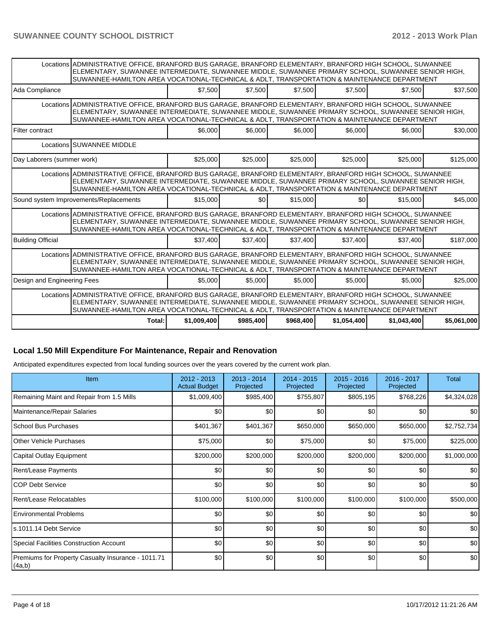|                                        | Locations ADMINISTRATIVE OFFICE, BRANFORD BUS GARAGE, BRANFORD ELEMENTARY, BRANFORD HIGH SCHOOL, SUWANNEE<br>ELEMENTARY, SUWANNEE INTERMEDIATE, SUWANNEE MIDDLE, SUWANNEE PRIMARY SCHOOL, SUWANNEE SENIOR HIGH,<br>SUWANNEE-HAMILTON AREA VOCATIONAL-TECHNICAL & ADLT, TRANSPORTATION & MAINTENANCE DEPARTMENT |             |                    |           |                  |             |             |
|----------------------------------------|----------------------------------------------------------------------------------------------------------------------------------------------------------------------------------------------------------------------------------------------------------------------------------------------------------------|-------------|--------------------|-----------|------------------|-------------|-------------|
| Ada Compliance                         |                                                                                                                                                                                                                                                                                                                | \$7,500     | \$7.500            | \$7,500   | \$7.500          | \$7.500     | \$37,500    |
|                                        | Locations ADMINISTRATIVE OFFICE, BRANFORD BUS GARAGE, BRANFORD ELEMENTARY, BRANFORD HIGH SCHOOL, SUWANNEE<br>ELEMENTARY, SUWANNEE INTERMEDIATE, SUWANNEE MIDDLE, SUWANNEE PRIMARY SCHOOL, SUWANNEE SENIOR HIGH,<br>SUWANNEE-HAMILTON AREA VOCATIONAL-TECHNICAL & ADLT, TRANSPORTATION & MAINTENANCE DEPARTMENT |             |                    |           |                  |             |             |
| Filter contract                        |                                                                                                                                                                                                                                                                                                                |             | \$6,000<br>\$6,000 | \$6.000   | \$6,000          | \$6.000     | \$30,000    |
|                                        | Locations SUWANNEE MIDDLE                                                                                                                                                                                                                                                                                      |             |                    |           |                  |             |             |
| Day Laborers (summer work)             |                                                                                                                                                                                                                                                                                                                | \$25,000    | \$25,000           | \$25,000  | \$25,000         | \$25,000    | \$125,000   |
|                                        | Locations ADMINISTRATIVE OFFICE, BRANFORD BUS GARAGE, BRANFORD ELEMENTARY, BRANFORD HIGH SCHOOL, SUWANNEE<br>ELEMENTARY, SUWANNEE INTERMEDIATE, SUWANNEE MIDDLE, SUWANNEE PRIMARY SCHOOL, SUWANNEE SENIOR HIGH,<br>SUWANNEE-HAMILTON AREA VOCATIONAL-TECHNICAL & ADLT, TRANSPORTATION & MAINTENANCE DEPARTMENT |             |                    |           |                  |             |             |
| Sound system Improvements/Replacements |                                                                                                                                                                                                                                                                                                                | \$15,000    | \$0                | \$15,000  | \$0 <sub>1</sub> | \$15,000    | \$45,000    |
|                                        | Locations ADMINISTRATIVE OFFICE, BRANFORD BUS GARAGE, BRANFORD ELEMENTARY, BRANFORD HIGH SCHOOL, SUWANNEE<br>ELEMENTARY, SUWANNEE INTERMEDIATE, SUWANNEE MIDDLE, SUWANNEE PRIMARY SCHOOL, SUWANNEE SENIOR HIGH,<br>SUWANNEE-HAMILTON AREA VOCATIONAL-TECHNICAL & ADLT. TRANSPORTATION & MAINTENANCE DEPARTMENT |             |                    |           |                  |             |             |
| <b>Building Official</b>               |                                                                                                                                                                                                                                                                                                                | \$37,400    | \$37,400           | \$37,400  | \$37,400         | \$37.400    | \$187,000   |
|                                        | Locations ADMINISTRATIVE OFFICE, BRANFORD BUS GARAGE, BRANFORD ELEMENTARY, BRANFORD HIGH SCHOOL, SUWANNEE<br>ELEMENTARY, SUWANNEE INTERMEDIATE, SUWANNEE MIDDLE, SUWANNEE PRIMARY SCHOOL, SUWANNEE SENIOR HIGH,<br>SUWANNEE-HAMILTON AREA VOCATIONAL-TECHNICAL & ADLT, TRANSPORTATION & MAINTENANCE DEPARTMENT |             |                    |           |                  |             |             |
| Design and Engineering Fees            |                                                                                                                                                                                                                                                                                                                | \$5,000     | \$5,000            | \$5,000   | \$5,000          | \$5,000     | \$25,000    |
|                                        | Locations ADMINISTRATIVE OFFICE, BRANFORD BUS GARAGE, BRANFORD ELEMENTARY, BRANFORD HIGH SCHOOL, SUWANNEE<br>ELEMENTARY, SUWANNEE INTERMEDIATE, SUWANNEE MIDDLE, SUWANNEE PRIMARY SCHOOL, SUWANNEE SENIOR HIGH,<br>SUWANNEE-HAMILTON AREA VOCATIONAL-TECHNICAL & ADLT. TRANSPORTATION & MAINTENANCE DEPARTMENT |             |                    |           |                  |             |             |
|                                        | Total:                                                                                                                                                                                                                                                                                                         | \$1,009,400 | \$985,400          | \$968,400 | \$1,054,400      | \$1,043,400 | \$5,061,000 |

#### **Local 1.50 Mill Expenditure For Maintenance, Repair and Renovation**

Anticipated expenditures expected from local funding sources over the years covered by the current work plan.

| <b>Item</b>                                                  | 2012 - 2013<br><b>Actual Budget</b> | $2013 - 2014$<br>Projected | $2014 - 2015$<br>Projected | $2015 - 2016$<br>Projected | 2016 - 2017<br>Projected | Total       |
|--------------------------------------------------------------|-------------------------------------|----------------------------|----------------------------|----------------------------|--------------------------|-------------|
| Remaining Maint and Repair from 1.5 Mills                    | \$1,009,400                         | \$985,400                  | \$755,807                  | \$805,195                  | \$768,226                | \$4,324,028 |
| Maintenance/Repair Salaries                                  | \$0                                 | \$0                        | \$0                        | \$0                        | \$0                      | \$0         |
| <b>School Bus Purchases</b>                                  | \$401,367                           | \$401,367                  | \$650,000                  | \$650,000                  | \$650,000                | \$2,752,734 |
| Other Vehicle Purchases                                      | \$75,000                            | \$0                        | \$75,000                   | \$0                        | \$75,000                 | \$225,000   |
| Capital Outlay Equipment                                     | \$200,000                           | \$200,000                  | \$200,000                  | \$200,000                  | \$200,000                | \$1,000,000 |
| <b>Rent/Lease Payments</b>                                   | \$0                                 | \$0                        | \$0                        | \$0                        | \$0                      | \$0         |
| COP Debt Service                                             | \$0                                 | \$0                        | \$0                        | \$0                        | \$0                      | \$0         |
| Rent/Lease Relocatables                                      | \$100,000                           | \$100,000                  | \$100,000                  | \$100,000                  | \$100,000                | \$500,000   |
| <b>Environmental Problems</b>                                | \$0                                 | \$0                        | \$0                        | \$0                        | \$0                      | \$0         |
| ls.1011.14 Debt Service                                      | \$0                                 | \$0                        | \$0                        | \$0                        | \$0                      | \$0         |
| Special Facilities Construction Account                      | \$0                                 | \$0                        | \$0                        | \$0                        | \$0                      | \$0         |
| Premiums for Property Casualty Insurance - 1011.71<br>(4a,b) | \$0                                 | \$0                        | \$0                        | \$0                        | \$0                      | \$0         |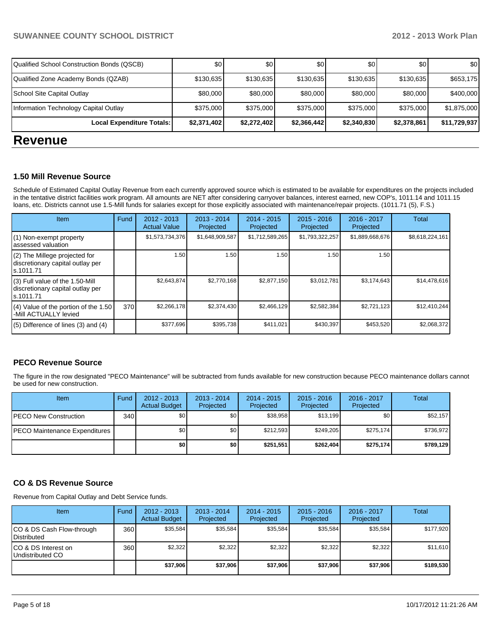| <b>DALISIALE</b>                           |                  |             |             |             |             |              |
|--------------------------------------------|------------------|-------------|-------------|-------------|-------------|--------------|
| Local Expenditure Totals:                  | \$2,371,402      | \$2,272,402 | \$2,366,442 | \$2,340,830 | \$2,378,861 | \$11,729,937 |
| Information Technology Capital Outlay      | \$375,000        | \$375,000   | \$375,000   | \$375,000   | \$375,000   | \$1,875,000  |
| School Site Capital Outlay                 | \$80,000         | \$80,000    | \$80,000    | \$80,000    | \$80,000    | \$400,000    |
| Qualified Zone Academy Bonds (QZAB)        | \$130,635        | \$130,635   | \$130,635   | \$130,635   | \$130,635   | \$653,175    |
| Qualified School Construction Bonds (QSCB) | \$0 <sub>1</sub> | \$0         | \$0         | <b>\$01</b> | \$0         | \$0          |

## **Revenue**

#### **1.50 Mill Revenue Source**

Schedule of Estimated Capital Outlay Revenue from each currently approved source which is estimated to be available for expenditures on the projects included in the tentative district facilities work program. All amounts are NET after considering carryover balances, interest earned, new COP's, 1011.14 and 1011.15 loans, etc. Districts cannot use 1.5-Mill funds for salaries except for those explicitly associated with maintenance/repair projects. (1011.71 (5), F.S.)

| Item                                                                              | Fund | $2012 - 2013$<br><b>Actual Value</b> | $2013 - 2014$<br>Projected | $2014 - 2015$<br>Projected | $2015 - 2016$<br>Projected | 2016 - 2017<br>Projected | Total           |
|-----------------------------------------------------------------------------------|------|--------------------------------------|----------------------------|----------------------------|----------------------------|--------------------------|-----------------|
| (1) Non-exempt property<br>assessed valuation                                     |      | \$1,573,734,376                      | \$1,648,909,587            | \$1,712,589,265            | \$1,793,322,257            | \$1,889,668,676          | \$8,618,224,161 |
| (2) The Millege projected for<br>discretionary capital outlay per<br>ls.1011.71   |      | 1.50                                 | 1.50                       | 1.50                       | 1.50                       | 1.50                     |                 |
| (3) Full value of the 1.50-Mill<br>discretionary capital outlay per<br>ls.1011.71 |      | \$2,643,874                          | \$2,770,168                | \$2,877,150                | \$3,012,781                | \$3,174,643              | \$14,478,616    |
| (4) Value of the portion of the 1.50<br>-Mill ACTUALLY levied                     | 370  | \$2,266,178                          | \$2,374,430                | \$2,466,129                | \$2,582,384                | \$2,721,123              | \$12,410,244    |
| $(5)$ Difference of lines (3) and (4)                                             |      | \$377,696                            | \$395,738                  | \$411,021                  | \$430,397                  | \$453,520                | \$2,068,372     |

#### **PECO Revenue Source**

The figure in the row designated "PECO Maintenance" will be subtracted from funds available for new construction because PECO maintenance dollars cannot be used for new construction.

| Item                                  | Fund | $2012 - 2013$<br><b>Actual Budget</b> | $2013 - 2014$<br>Projected | $2014 - 2015$<br>Projected | $2015 - 2016$<br>Projected | $2016 - 2017$<br>Projected | Total     |
|---------------------------------------|------|---------------------------------------|----------------------------|----------------------------|----------------------------|----------------------------|-----------|
| <b>PECO New Construction</b>          | 340  | \$0                                   | \$0 <sub>1</sub>           | \$38.958                   | \$13.199                   | \$0 I                      | \$52,157  |
| <b>IPECO Maintenance Expenditures</b> |      | \$0                                   | \$0 <sub>1</sub>           | \$212.593                  | \$249.205                  | \$275,174                  | \$736,972 |
|                                       |      | \$0                                   | \$0                        | \$251.551                  | \$262.404                  | \$275,174                  | \$789,129 |

#### **CO & DS Revenue Source**

Revenue from Capital Outlay and Debt Service funds.

| Item                                               | Fund | $2012 - 2013$<br><b>Actual Budget</b> | $2013 - 2014$<br>Projected | $2014 - 2015$<br>Projected | $2015 - 2016$<br>Projected | $2016 - 2017$<br>Projected | Total     |
|----------------------------------------------------|------|---------------------------------------|----------------------------|----------------------------|----------------------------|----------------------------|-----------|
| ICO & DS Cash Flow-through<br><b>I</b> Distributed | 360  | \$35.584                              | \$35.584                   | \$35.584                   | \$35,584                   | \$35.584                   | \$177,920 |
| ICO & DS Interest on<br>Undistributed CO           | 360  | \$2,322                               | \$2,322                    | \$2,322                    | \$2,322                    | \$2,322                    | \$11,610  |
|                                                    |      | \$37.906                              | \$37,906                   | \$37,906                   | \$37.906                   | \$37,906                   | \$189,530 |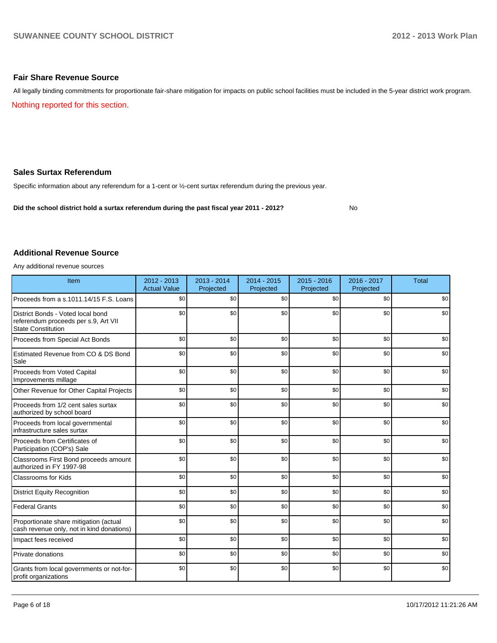#### **Fair Share Revenue Source**

Nothing reported for this section. All legally binding commitments for proportionate fair-share mitigation for impacts on public school facilities must be included in the 5-year district work program.

#### **Sales Surtax Referendum**

Specific information about any referendum for a 1-cent or ½-cent surtax referendum during the previous year.

**Did the school district hold a surtax referendum during the past fiscal year 2011 - 2012?**

No

#### **Additional Revenue Source**

Any additional revenue sources

| Item                                                                                                   | 2012 - 2013<br><b>Actual Value</b> | $2013 - 2014$<br>Projected | $2014 - 2015$<br>Projected | $2015 - 2016$<br>Projected | 2016 - 2017<br>Projected | <b>Total</b> |
|--------------------------------------------------------------------------------------------------------|------------------------------------|----------------------------|----------------------------|----------------------------|--------------------------|--------------|
| Proceeds from a s.1011.14/15 F.S. Loans                                                                | \$0                                | \$0                        | \$0                        | \$0                        | \$0                      | \$0          |
| District Bonds - Voted local bond<br>referendum proceeds per s.9, Art VII<br><b>State Constitution</b> | \$0                                | \$0                        | \$0                        | \$0                        | \$0                      | \$0          |
| Proceeds from Special Act Bonds                                                                        | \$0                                | \$0                        | \$0                        | \$0                        | \$0                      | \$0          |
| Estimated Revenue from CO & DS Bond<br>Sale                                                            | \$0                                | \$0                        | \$0                        | \$0                        | \$0                      | \$0          |
| Proceeds from Voted Capital<br>Improvements millage                                                    | \$0                                | \$0                        | \$0                        | \$0                        | \$0                      | \$0          |
| Other Revenue for Other Capital Projects                                                               | \$0                                | \$0                        | \$0                        | \$0                        | \$0                      | \$0          |
| Proceeds from 1/2 cent sales surtax<br>authorized by school board                                      | \$0                                | \$0                        | \$0                        | \$0                        | \$0                      | \$0          |
| Proceeds from local governmental<br>infrastructure sales surtax                                        | \$0                                | \$0                        | \$0                        | \$0                        | \$0                      | \$0          |
| Proceeds from Certificates of<br>Participation (COP's) Sale                                            | \$0                                | \$0                        | \$0                        | \$0                        | \$0                      | \$0          |
| Classrooms First Bond proceeds amount<br>authorized in FY 1997-98                                      | \$0                                | \$0                        | \$0                        | \$0                        | \$0                      | \$0          |
| <b>Classrooms for Kids</b>                                                                             | \$0                                | \$0                        | \$0                        | \$0                        | \$0                      | \$0          |
| <b>District Equity Recognition</b>                                                                     | \$0                                | \$0                        | \$0                        | \$0                        | \$0                      | \$0          |
| <b>Federal Grants</b>                                                                                  | \$0                                | \$0                        | \$0                        | \$0                        | \$0                      | \$0          |
| Proportionate share mitigation (actual<br>cash revenue only, not in kind donations)                    | \$0                                | \$0                        | \$0                        | \$0                        | \$0                      | \$0          |
| Impact fees received                                                                                   | \$0                                | \$0                        | \$0                        | \$0                        | \$0                      | \$0          |
| Private donations                                                                                      | \$0                                | \$0                        | \$0                        | \$0                        | \$0                      | \$0          |
| Grants from local governments or not-for-<br>profit organizations                                      | \$0                                | \$0                        | \$0                        | \$0                        | \$0                      | \$0          |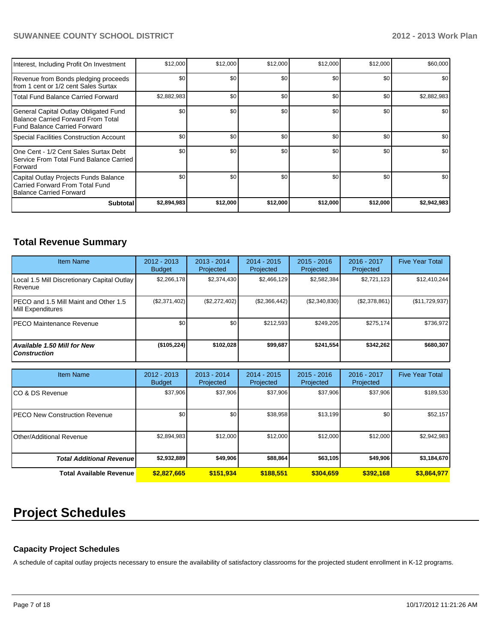#### **SUWANNEE COUNTY SCHOOL DISTRICT 2012 - 2013 Work Plan**

| Interest, Including Profit On Investment                                                                      | \$12,000    | \$12,000 | \$12,000 | \$12,000 | \$12,000 | \$60,000    |
|---------------------------------------------------------------------------------------------------------------|-------------|----------|----------|----------|----------|-------------|
| Revenue from Bonds pledging proceeds<br>Ifrom 1 cent or 1/2 cent Sales Surtax                                 | \$0         | \$0      | \$0      | \$0      | \$0      | \$0         |
| Total Fund Balance Carried Forward                                                                            | \$2,882,983 | \$0      | \$0      | \$0      | \$0      | \$2,882,983 |
| General Capital Outlay Obligated Fund<br>Balance Carried Forward From Total<br>l Fund Balance Carried Forward | \$0         | \$0      | \$0      | \$0      | \$0      | \$0         |
| Special Facilities Construction Account                                                                       | \$0         | \$0      | \$0      | \$0      | \$0      | \$0         |
| IOne Cent - 1/2 Cent Sales Surtax Debt<br>l Service From Total Fund Balance Carried I<br><b>IForward</b>      | \$0         | \$0      | \$0      | \$0      | \$0      | \$0         |
| Capital Outlay Projects Funds Balance<br>Carried Forward From Total Fund<br>Balance Carried Forward           | \$0         | \$0      | \$0      | \$0      | \$0      | \$0         |
| <b>Subtotal</b>                                                                                               | \$2,894,983 | \$12,000 | \$12,000 | \$12,000 | \$12,000 | \$2,942,983 |

### **Total Revenue Summary**

| <b>Item Name</b>                                            | $2012 - 2013$<br><b>Budget</b> | $2013 - 2014$<br>Projected | $2014 - 2015$<br>Projected | $2015 - 2016$<br>Projected | $2016 - 2017$<br>Projected | <b>Five Year Total</b> |
|-------------------------------------------------------------|--------------------------------|----------------------------|----------------------------|----------------------------|----------------------------|------------------------|
| Local 1.5 Mill Discretionary Capital Outlay<br>l Revenue    | \$2.266.178                    | \$2,374,430                | \$2.466.129                | \$2,582,384                | \$2,721,123                | \$12,410,244           |
| IPECO and 1.5 Mill Maint and Other 1.5<br>Mill Expenditures | (S2, 371, 402)                 | (\$2,272,402)              | (\$2,366,442)              | (\$2,340,830)              | (S2, 378, 861)             | (\$11,729,937)         |
| IPECO Maintenance Revenue                                   | \$0                            | \$0                        | \$212.593                  | \$249.205                  | \$275.174                  | \$736,972              |
| Available 1.50 Mill for New l<br>l Construction             | (\$105,224)                    | \$102.028                  | \$99,687                   | \$241.554                  | \$342.262                  | \$680,307              |

| <b>Item Name</b>                      | 2012 - 2013<br><b>Budget</b> | $2013 - 2014$<br>Projected | $2014 - 2015$<br>Projected | $2015 - 2016$<br>Projected | 2016 - 2017<br>Projected | <b>Five Year Total</b> |
|---------------------------------------|------------------------------|----------------------------|----------------------------|----------------------------|--------------------------|------------------------|
| ICO & DS Revenue                      | \$37,906                     | \$37.906                   | \$37,906                   | \$37,906                   | \$37,906                 | \$189,530              |
| <b>IPECO New Construction Revenue</b> | \$0 <sub>1</sub>             | \$0                        | \$38,958                   | \$13,199                   | \$0                      | \$52,157               |
| IOther/Additional Revenue             | \$2,894,983                  | \$12,000                   | \$12,000                   | \$12,000                   | \$12,000                 | \$2,942,983            |
| <b>Total Additional Revenuel</b>      | \$2,932,889                  | \$49,906                   | \$88,864                   | \$63,105                   | \$49,906                 | \$3,184,670            |
| <b>Total Available Revenue</b>        | \$2.827.665                  | \$151,934                  | \$188.551                  | \$304,659                  | \$392.168                | \$3,864,977            |

# **Project Schedules**

#### **Capacity Project Schedules**

A schedule of capital outlay projects necessary to ensure the availability of satisfactory classrooms for the projected student enrollment in K-12 programs.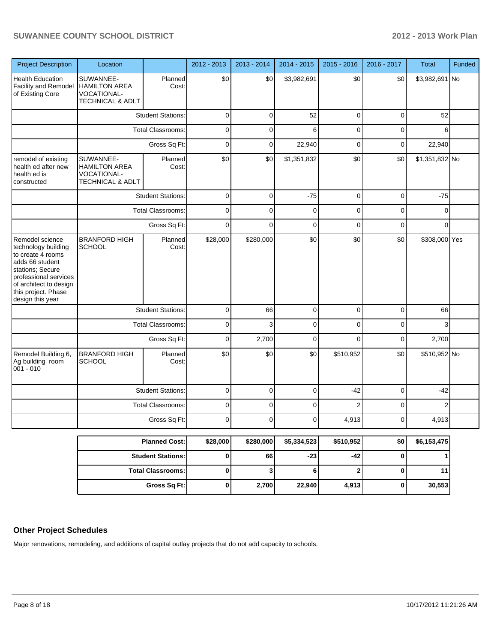#### **SUWANNEE COUNTY SCHOOL DISTRICT 2012 - 2013 Work Plan**

| <b>Project Description</b>                                                                                                                                                                       | Location                                                             |                          | 2012 - 2013 | 2013 - 2014 | 2014 - 2015 | 2015 - 2016    | 2016 - 2017 | <b>Total</b>   | Funded |
|--------------------------------------------------------------------------------------------------------------------------------------------------------------------------------------------------|----------------------------------------------------------------------|--------------------------|-------------|-------------|-------------|----------------|-------------|----------------|--------|
| <b>Health Education</b><br>Facility and Remodel<br>of Existing Core                                                                                                                              | SUWANNEE-<br><b>HAMILTON AREA</b><br>VOCATIONAL-<br>TECHNICAL & ADLT | Planned<br>Cost:         | \$0         | \$0         | \$3,982,691 | \$0            | \$0         | \$3,982,691 No |        |
|                                                                                                                                                                                                  |                                                                      | <b>Student Stations:</b> | $\mathbf 0$ | 0           | 52          | 0              | 0           | 52             |        |
|                                                                                                                                                                                                  |                                                                      | Total Classrooms:        | $\mathbf 0$ | 0           | 6           | 0              | 0           | 6              |        |
|                                                                                                                                                                                                  |                                                                      | Gross Sq Ft:             | $\mathbf 0$ | 0           | 22,940      | 0              | 0           | 22,940         |        |
| remodel of existing<br>health ed after new<br>health ed is<br>constructed                                                                                                                        | SUWANNEE-<br><b>HAMILTON AREA</b><br>VOCATIONAL-<br>TECHNICAL & ADLT | Planned<br>Cost:         | \$0         | \$0         | \$1,351,832 | \$0            | \$0         | \$1,351,832 No |        |
|                                                                                                                                                                                                  |                                                                      | <b>Student Stations:</b> | 0           | 0           | $-75$       | 0              | 0           | $-75$          |        |
|                                                                                                                                                                                                  |                                                                      | Total Classrooms:        | 0           | 0           | 0           | 0              | 0           | 0              |        |
|                                                                                                                                                                                                  |                                                                      | Gross Sq Ft:             | 0           | 0           | 0           | 0              | 0           | 0              |        |
| Remodel science<br>technology building<br>to create 4 rooms<br>adds 66 student<br>stations; Secure<br>professional services<br>of architect to design<br>this project. Phase<br>design this year | <b>BRANFORD HIGH</b><br><b>SCHOOL</b>                                | Planned<br>Cost:         | \$28,000    | \$280,000   | \$0         | \$0            | \$0         | \$308,000 Yes  |        |
|                                                                                                                                                                                                  |                                                                      | <b>Student Stations:</b> | $\mathbf 0$ | 66          | 0           | 0              | 0           | 66             |        |
|                                                                                                                                                                                                  |                                                                      | <b>Total Classrooms:</b> | 0           | 3           | 0           | 0              | 0           | 3              |        |
|                                                                                                                                                                                                  |                                                                      | Gross Sq Ft:             | 0           | 2,700       | 0           | 0              | 0           | 2,700          |        |
| Remodel Building 6,<br>Ag building room<br>$001 - 010$                                                                                                                                           | <b>BRANFORD HIGH</b><br><b>SCHOOL</b>                                | Planned<br>Cost:         | \$0         | \$0         | \$0         | \$510,952      | \$0         | \$510,952 No   |        |
|                                                                                                                                                                                                  |                                                                      | <b>Student Stations:</b> | 0           | 0           | 0           | $-42$          | 0           | $-42$          |        |
|                                                                                                                                                                                                  |                                                                      | <b>Total Classrooms:</b> | 0           | 0           | 0           | 2              | 0           | $\overline{2}$ |        |
|                                                                                                                                                                                                  |                                                                      | Gross Sq Ft:             | $\Omega$    | $\Omega$    | $\Omega$    | 4,913          | $\Omega$    | 4,913          |        |
|                                                                                                                                                                                                  |                                                                      | <b>Planned Cost:</b>     | \$28,000    | \$280,000   | \$5,334,523 | \$510,952      | \$0         | \$6,153,475    |        |
|                                                                                                                                                                                                  |                                                                      | <b>Student Stations:</b> | 0           | 66          | $-23$       | $-42$          | $\bf{0}$    | $\mathbf{1}$   |        |
|                                                                                                                                                                                                  |                                                                      | <b>Total Classrooms:</b> | 0           | 3           | $6 \mid$    | 2 <sub>1</sub> | $\bf{0}$    | 11             |        |
|                                                                                                                                                                                                  |                                                                      | Gross Sq Ft:             | 0           | 2,700       | 22,940      | 4,913          | $\pmb{0}$   | 30,553         |        |

#### **Other Project Schedules**

Major renovations, remodeling, and additions of capital outlay projects that do not add capacity to schools.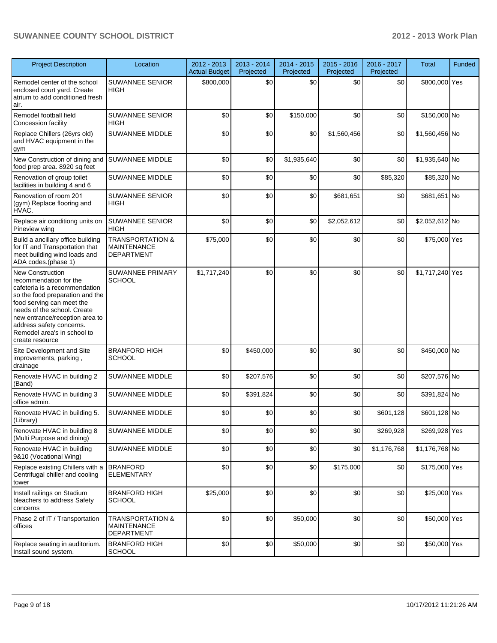#### **SUWANNEE COUNTY SCHOOL DISTRICT 2012 - 2013 Work Plan**

| <b>Project Description</b>                                                                                                                                                                                                                                                                        | Location                                                               | 2012 - 2013<br><b>Actual Budget</b> | 2013 - 2014<br>Projected | 2014 - 2015<br>Projected | 2015 - 2016<br>Projected | 2016 - 2017<br>Projected | <b>Total</b>    | Funded |
|---------------------------------------------------------------------------------------------------------------------------------------------------------------------------------------------------------------------------------------------------------------------------------------------------|------------------------------------------------------------------------|-------------------------------------|--------------------------|--------------------------|--------------------------|--------------------------|-----------------|--------|
| Remodel center of the school<br>enclosed court yard. Create<br>atrium to add conditioned fresh<br>air.                                                                                                                                                                                            | <b>SUWANNEE SENIOR</b><br><b>HIGH</b>                                  | \$800,000                           | \$0                      | \$0                      | \$0                      | \$0                      | \$800,000 Yes   |        |
| Remodel football field<br>Concession facility                                                                                                                                                                                                                                                     | <b>SUWANNEE SENIOR</b><br><b>HIGH</b>                                  | \$0                                 | \$0                      | \$150,000                | \$0                      | \$0                      | \$150,000 No    |        |
| Replace Chillers (26yrs old)<br>and HVAC equipment in the<br>gym                                                                                                                                                                                                                                  | SUWANNEE MIDDLE                                                        | \$0                                 | \$0                      | \$0                      | \$1,560,456              | \$0                      | \$1,560,456 No  |        |
| New Construction of dining and<br>food prep area. 8920 sq feet                                                                                                                                                                                                                                    | <b>SUWANNEE MIDDLE</b>                                                 | \$0                                 | \$0                      | \$1,935,640              | \$0                      | \$0                      | \$1,935,640 No  |        |
| Renovation of group toilet<br>facilities in building 4 and 6                                                                                                                                                                                                                                      | SUWANNEE MIDDLE                                                        | \$0                                 | \$0                      | \$0                      | \$0                      | \$85,320                 | \$85,320 No     |        |
| Renovation of room 201<br>(gym) Replace flooring and<br>HVAC.                                                                                                                                                                                                                                     | <b>SUWANNEE SENIOR</b><br><b>HIGH</b>                                  | \$0                                 | \$0                      | \$0                      | \$681,651                | \$0                      | \$681,651 No    |        |
| Replace air conditiong units on<br>Pineview wing                                                                                                                                                                                                                                                  | <b>SUWANNEE SENIOR</b><br><b>HIGH</b>                                  | \$0                                 | \$0                      | \$0                      | \$2,052,612              | \$0                      | \$2,052,612 No  |        |
| Build a ancillary office building<br>for IT and Transportation that<br>meet building wind loads and<br>ADA codes.(phase 1)                                                                                                                                                                        | <b>TRANSPORTATION &amp;</b><br><b>MAINTENANCE</b><br><b>DEPARTMENT</b> | \$75,000                            | \$0                      | \$0                      | \$0                      | \$0                      | \$75,000 Yes    |        |
| <b>New Construction</b><br>recommendation for the<br>cafeteria is a recommendation<br>so the food preparation and the<br>food serving can meet the<br>needs of the school. Create<br>new entrance/reception area to<br>address safety concerns.<br>Remodel area's in school to<br>create resource | <b>SUWANNEE PRIMARY</b><br><b>SCHOOL</b>                               | \$1,717,240                         | \$0                      | \$0                      | \$0                      | \$0                      | \$1,717,240 Yes |        |
| Site Development and Site<br>improvements, parking,<br>drainage                                                                                                                                                                                                                                   | <b>BRANFORD HIGH</b><br><b>SCHOOL</b>                                  | \$0                                 | \$450,000                | \$0                      | \$0                      | \$0                      | \$450,000 No    |        |
| Renovate HVAC in building 2<br>(Band)                                                                                                                                                                                                                                                             | <b>SUWANNEE MIDDLE</b>                                                 | \$0                                 | \$207,576                | \$0                      | \$0                      | \$0                      | \$207,576 No    |        |
| Renovate HVAC in building 3<br>office admin.                                                                                                                                                                                                                                                      | SUWANNEE MIDDLE                                                        | \$0                                 | \$391,824                | \$0                      | \$0                      | \$0                      | \$391,824 No    |        |
| Renovate HVAC in building 5.<br>(Library)                                                                                                                                                                                                                                                         | <b>SUWANNEE MIDDLE</b>                                                 | \$0                                 | \$0                      | \$0                      | \$0                      | \$601,128                | \$601,128 No    |        |
| Renovate HVAC in building 8<br>(Multi Purpose and dining)                                                                                                                                                                                                                                         | SUWANNEE MIDDLE                                                        | \$0                                 | \$0                      | \$0                      | \$0                      | \$269,928                | \$269,928 Yes   |        |
| Renovate HVAC in building<br>9&10 (Vocational Wing)                                                                                                                                                                                                                                               | SUWANNEE MIDDLE                                                        | \$0                                 | \$0                      | \$0                      | \$0                      | \$1,176,768              | \$1,176,768 No  |        |
| Replace existing Chillers with a<br>Centrifugal chiller and cooling<br>tower                                                                                                                                                                                                                      | <b>BRANFORD</b><br><b>ELEMENTARY</b>                                   | \$0                                 | \$0                      | \$0                      | \$175,000                | \$0                      | \$175,000 Yes   |        |
| Install railings on Stadium<br>bleachers to address Safety<br>concerns                                                                                                                                                                                                                            | <b>BRANFORD HIGH</b><br><b>SCHOOL</b>                                  | \$25,000                            | \$0                      | \$0                      | \$0                      | \$0                      | \$25,000 Yes    |        |
| Phase 2 of IT / Transportation<br>offices                                                                                                                                                                                                                                                         | <b>TRANSPORTATION &amp;</b><br><b>MAINTENANCE</b><br><b>DEPARTMENT</b> | \$0                                 | \$0                      | \$50,000                 | \$0                      | \$0                      | \$50,000 Yes    |        |
| Replace seating in auditorium.<br>Install sound system.                                                                                                                                                                                                                                           | <b>BRANFORD HIGH</b><br><b>SCHOOL</b>                                  | \$0                                 | \$0                      | \$50,000                 | \$0                      | \$0                      | \$50,000 Yes    |        |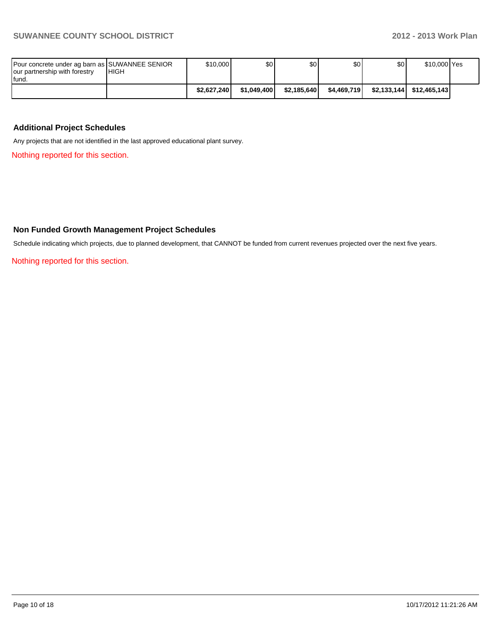| Pour concrete under ag barn as SUWANNEE SENIOR<br>our partnership with forestry<br>lfund. | <b>IHIGH</b> | \$10,000    | \$O I       | \$OI        | \$0         | \$0 <sub>1</sub> | \$10,000 Yes             |  |
|-------------------------------------------------------------------------------------------|--------------|-------------|-------------|-------------|-------------|------------------|--------------------------|--|
|                                                                                           |              | \$2.627.240 | \$1.049.400 | \$2.185.640 | \$4.469.719 |                  | \$2.133.144 \$12.465.143 |  |

#### **Additional Project Schedules**

Any projects that are not identified in the last approved educational plant survey.

Nothing reported for this section.

#### **Non Funded Growth Management Project Schedules**

Schedule indicating which projects, due to planned development, that CANNOT be funded from current revenues projected over the next five years.

Nothing reported for this section.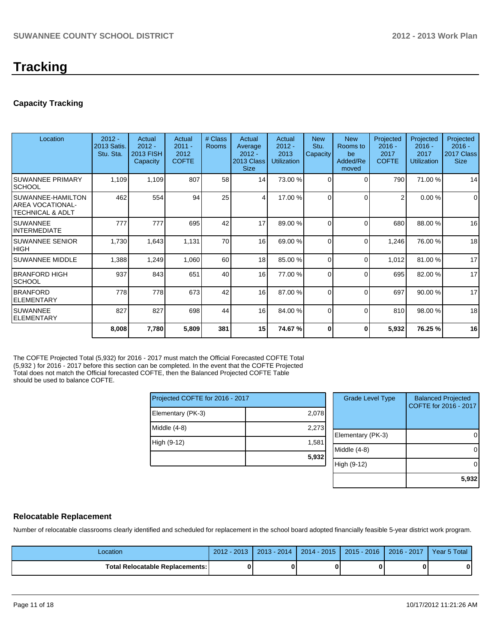# **Tracking**

#### **Capacity Tracking**

| Location                                                     | $2012 -$<br>2013 Satis.<br>Stu. Sta. | Actual<br>$2012 -$<br>2013 FISH<br>Capacity | Actual<br>$2011 -$<br>2012<br><b>COFTE</b> | # Class<br>Rooms | Actual<br>Average<br>$2012 -$<br>2013 Class<br><b>Size</b> | Actual<br>$2012 -$<br>2013<br><b>Utilization</b> | <b>New</b><br>Stu.<br>Capacity | <b>New</b><br>Rooms to<br>be<br>Added/Re<br>moved | Projected<br>$2016 -$<br>2017<br><b>COFTE</b> | Projected<br>$2016 -$<br>2017<br><b>Utilization</b> | Projected<br>$2016 -$<br>2017 Class<br><b>Size</b> |
|--------------------------------------------------------------|--------------------------------------|---------------------------------------------|--------------------------------------------|------------------|------------------------------------------------------------|--------------------------------------------------|--------------------------------|---------------------------------------------------|-----------------------------------------------|-----------------------------------------------------|----------------------------------------------------|
| <b>SUWANNEE PRIMARY</b><br><b>ISCHOOL</b>                    | 1,109                                | 1,109                                       | 807                                        | 58               | 14                                                         | 73.00 %                                          | $\Omega$                       | $\Omega$                                          | 790                                           | 71.00 %                                             | 14                                                 |
| ISUWANNEE-HAMILTON<br>IAREA VOCATIONAL-<br>ITECHNICAL & ADLT | 462                                  | 554                                         | 94                                         | 25               | $\frac{4}{ }$                                              | 17.00 %                                          | $\Omega$                       | $\Omega$                                          | $\overline{2}$                                | 0.00%                                               | $\mathbf 0$                                        |
| ISUWANNEE<br>IINTERMEDIATE                                   | 777                                  | 777                                         | 695                                        | 42               | 17                                                         | 89.00 %                                          | $\Omega$                       | $\Omega$                                          | 680                                           | 88.00 %                                             | 16                                                 |
| ISUWANNEE SENIOR<br> HIGH                                    | 1,730                                | 1,643                                       | 1,131                                      | 70               | 16                                                         | 69.00 %                                          | $\Omega$                       | $\Omega$                                          | 1,246                                         | 76.00 %                                             | 18                                                 |
| <b>SUWANNEE MIDDLE</b>                                       | 1,388                                | 1,249                                       | 1,060                                      | 60               | 18 <sup>1</sup>                                            | 85.00 %                                          | $\Omega$                       | $\Omega$                                          | 1,012                                         | 81.00 %                                             | 17                                                 |
| IBRANFORD HIGH<br><b>SCHOOL</b>                              | 937                                  | 843                                         | 651                                        | 40               | 16                                                         | 77.00 %                                          | $\Omega$                       | $\Omega$                                          | 695                                           | 82.00 %                                             | 17                                                 |
| <b>BRANFORD</b><br><b>ELEMENTARY</b>                         | 778                                  | 778                                         | 673                                        | 42               | 16                                                         | 87.00 %                                          | $\Omega$                       | $\Omega$                                          | 697                                           | 90.00 %                                             | 17                                                 |
| ISUWANNEE<br><b>IELEMENTARY</b>                              | 827                                  | 827                                         | 698                                        | 44               | 16                                                         | 84.00 %                                          | $\Omega$                       | $\Omega$                                          | 810                                           | 98.00 %                                             | 18                                                 |
|                                                              | 8,008                                | 7,780                                       | 5,809                                      | 381              | 15 <sup>1</sup>                                            | 74.67 %                                          | ŋ                              | 0                                                 | 5,932                                         | 76.25 %                                             | 16                                                 |

The COFTE Projected Total (5,932) for 2016 - 2017 must match the Official Forecasted COFTE Total (5,932 ) for 2016 - 2017 before this section can be completed. In the event that the COFTE Projected Total does not match the Official forecasted COFTE, then the Balanced Projected COFTE Table should be used to balance COFTE.

| Projected COFTE for 2016 - 2017 |       |  |  |  |  |
|---------------------------------|-------|--|--|--|--|
| Elementary (PK-3)               | 2,078 |  |  |  |  |
| Middle $(4-8)$                  | 2,273 |  |  |  |  |
| High (9-12)                     | 1,581 |  |  |  |  |
|                                 | 5,932 |  |  |  |  |

| <b>Grade Level Type</b> | <b>Balanced Projected</b><br>COFTE for 2016 - 2017 |
|-------------------------|----------------------------------------------------|
| Elementary (PK-3)       |                                                    |
| Middle (4-8)            |                                                    |
| High (9-12)             |                                                    |
|                         | 5,93                                               |

#### **Relocatable Replacement**

Number of relocatable classrooms clearly identified and scheduled for replacement in the school board adopted financially feasible 5-year district work program.

| Location                          | $2012 -$<br>$-2013$ | $2013 - 2014$ | 2014 - 2015 | $2015 - 2016$ | $2016 - 2017$ | Year 5 Total |
|-----------------------------------|---------------------|---------------|-------------|---------------|---------------|--------------|
| Total Relocatable Replacements: I | 0                   |               |             |               |               | 0            |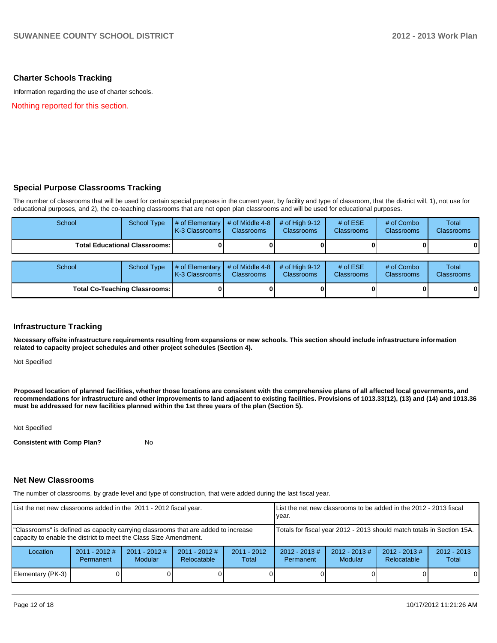#### **Charter Schools Tracking**

Information regarding the use of charter schools.

Nothing reported for this section.

#### **Special Purpose Classrooms Tracking**

The number of classrooms that will be used for certain special purposes in the current year, by facility and type of classroom, that the district will, 1), not use for educational purposes, and 2), the co-teaching classrooms that are not open plan classrooms and will be used for educational purposes.

| School | School Type                            | $\parallel$ # of Elementary $\parallel$ # of Middle 4-8 $\parallel$ # of High 9-12<br><b>IK-3 Classrooms I</b> | <b>Classrooms</b> | <b>Classrooms</b> | # of $ESE$<br><b>Classrooms</b> | $#$ of Combo<br><b>Classrooms</b> | Total<br><b>Classrooms</b> |
|--------|----------------------------------------|----------------------------------------------------------------------------------------------------------------|-------------------|-------------------|---------------------------------|-----------------------------------|----------------------------|
|        | <b>Total Educational Classrooms: I</b> |                                                                                                                |                   |                   |                                 | 0                                 | $\bf{0}$                   |

| School                               |  | School Type $\left  \frac{4}{7} \right $ of Elementary $\left  \frac{4}{7} \right $ of Middle 4-8 $\left  \frac{4}{7} \right $ of High 9-12<br><b>IK-3 Classrooms I</b> | <b>Classrooms</b> | <b>Classrooms</b> | # of $ESE$<br><b>Classrooms</b> | # of Combo<br><b>Classrooms</b> | Total<br><b>Classrooms</b> |
|--------------------------------------|--|-------------------------------------------------------------------------------------------------------------------------------------------------------------------------|-------------------|-------------------|---------------------------------|---------------------------------|----------------------------|
| <b>Total Co-Teaching Classrooms:</b> |  |                                                                                                                                                                         |                   |                   |                                 |                                 | 0                          |

#### **Infrastructure Tracking**

**Necessary offsite infrastructure requirements resulting from expansions or new schools. This section should include infrastructure information related to capacity project schedules and other project schedules (Section 4).**

Not Specified

**Proposed location of planned facilities, whether those locations are consistent with the comprehensive plans of all affected local governments, and recommendations for infrastructure and other improvements to land adjacent to existing facilities. Provisions of 1013.33(12), (13) and (14) and 1013.36 must be addressed for new facilities planned within the 1st three years of the plan (Section 5).**

Not Specified

**Consistent with Comp Plan?** No

#### **Net New Classrooms**

The number of classrooms, by grade level and type of construction, that were added during the last fiscal year.

| List the net new classrooms added in the 2011 - 2012 fiscal year.                                                                                       |                              |                                   |                                |                                                                        | List the net new classrooms to be added in the 2012 - 2013 fiscal<br>lvear. |                                   |                                 |                        |  |
|---------------------------------------------------------------------------------------------------------------------------------------------------------|------------------------------|-----------------------------------|--------------------------------|------------------------------------------------------------------------|-----------------------------------------------------------------------------|-----------------------------------|---------------------------------|------------------------|--|
| "Classrooms" is defined as capacity carrying classrooms that are added to increase<br>capacity to enable the district to meet the Class Size Amendment. |                              |                                   |                                | Totals for fiscal year 2012 - 2013 should match totals in Section 15A. |                                                                             |                                   |                                 |                        |  |
| Location                                                                                                                                                | $2011 - 2012$ #<br>Permanent | $2011 - 2012$ #<br><b>Modular</b> | $2011 - 2012$ #<br>Relocatable | $2011 - 2012$<br>Total                                                 | $2012 - 2013 \#$<br>Permanent                                               | $2012 - 2013$ #<br><b>Modular</b> | $2012 - 2013 \#$<br>Relocatable | $2012 - 2013$<br>Total |  |
| Elementary (PK-3)                                                                                                                                       |                              |                                   |                                |                                                                        |                                                                             |                                   |                                 | 0                      |  |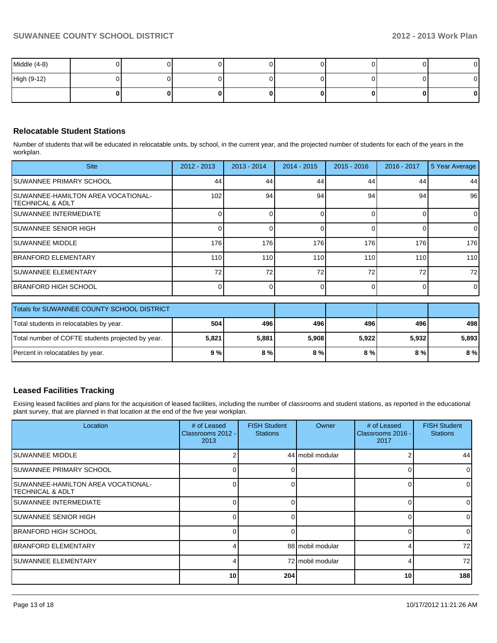| Middle (4-8) |  |  |    |    | $\mathbf{0}$ |
|--------------|--|--|----|----|--------------|
| High (9-12)  |  |  |    |    | ΟI           |
|              |  |  | ΩI | 01 | $\mathbf{0}$ |

#### **Relocatable Student Stations**

Number of students that will be educated in relocatable units, by school, in the current year, and the projected number of students for each of the years in the workplan.

| <b>Site</b>                                                     | $2012 - 2013$    | $2013 - 2014$ | $2014 - 2015$ | $2015 - 2016$ | 2016 - 2017 | 5 Year Average |
|-----------------------------------------------------------------|------------------|---------------|---------------|---------------|-------------|----------------|
| ISUWANNEE PRIMARY SCHOOL                                        | 44               | 44            | 44            | 44            | 44          | 44             |
| <b>ISUWANNEE-HAMILTON AREA VOCATIONAL-</b><br>ITECHNICAL & ADLT | 102              | 94            | 94            | 94            | 94          | 96             |
| <b>ISUWANNEE INTERMEDIATE</b>                                   |                  |               |               |               |             | $\overline{0}$ |
| <b>ISUWANNEE SENIOR HIGH</b>                                    |                  |               |               |               |             | $\Omega$       |
| <b>ISUWANNEE MIDDLE</b>                                         | 176              | 176           | 176           | 176           | 176         | 176            |
| <b>IBRANFORD ELEMENTARY</b>                                     | 110 <sup>1</sup> | 110           | 110           | 110           | 110         | 110            |
| <b>ISUWANNEE ELEMENTARY</b>                                     | 72 <sub>1</sub>  | 72            | 72            | 72            | 72          | 72             |
| <b>IBRANFORD HIGH SCHOOL</b>                                    |                  |               |               |               |             | $\overline{0}$ |

| Totals for SUWANNEE COUNTY SCHOOL DISTRICT        |       |       |       |       |       |       |
|---------------------------------------------------|-------|-------|-------|-------|-------|-------|
| Total students in relocatables by year.           | 504   | 496   | 496   | 496   | 496   | 498   |
| Total number of COFTE students projected by year. | 5,821 | 5.881 | 5,908 | 5,922 | 5.932 | 5,893 |
| Percent in relocatables by year.                  | 9 % l | 8%    | 8%    | 8 % l | 8 % I | 8%    |

#### **Leased Facilities Tracking**

Exising leased facilities and plans for the acquisition of leased facilities, including the number of classrooms and student stations, as reported in the educational plant survey, that are planned in that location at the end of the five year workplan.

| Location                                                 | # of Leased<br>Classrooms 2012 -<br>2013 | <b>FISH Student</b><br><b>Stations</b> | Owner            | # of Leased<br>Classrooms 2016 -<br>2017 | <b>FISH Student</b><br><b>Stations</b> |
|----------------------------------------------------------|------------------------------------------|----------------------------------------|------------------|------------------------------------------|----------------------------------------|
| ISUWANNEE MIDDLE                                         |                                          |                                        | 44 mobil modular |                                          | 44                                     |
| SUWANNEE PRIMARY SCHOOL                                  | U.                                       |                                        |                  |                                          |                                        |
| ISUWANNEE-HAMILTON AREA VOCATIONAL-<br>ITECHNICAL & ADLT |                                          |                                        |                  |                                          |                                        |
| ISUWANNEE INTERMEDIATE                                   | 0                                        | 0                                      |                  |                                          |                                        |
| ISUWANNEE SENIOR HIGH                                    | U                                        | n                                      |                  |                                          |                                        |
| <b>IBRANFORD HIGH SCHOOL</b>                             | U                                        | U                                      |                  |                                          | <sup>o</sup>                           |
| IBRANFORD ELEMENTARY                                     |                                          |                                        | 88 mobil modular |                                          | 72                                     |
| ISUWANNEE ELEMENTARY                                     |                                          |                                        | 72 mobil modular |                                          | 72                                     |
|                                                          | 10 <sup>1</sup>                          | 204                                    |                  | 10                                       | 188                                    |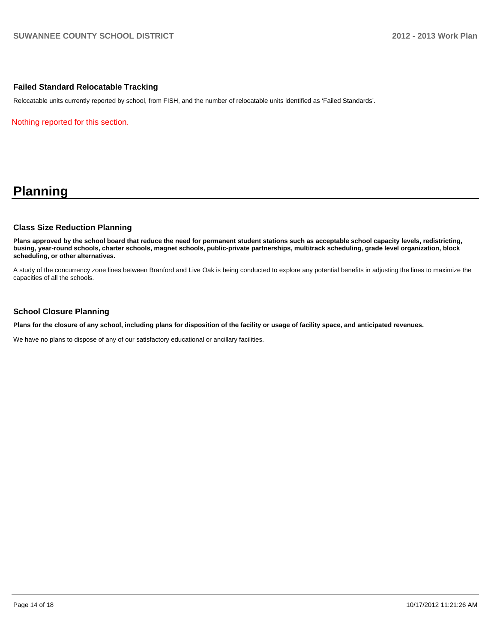#### **Failed Standard Relocatable Tracking**

Relocatable units currently reported by school, from FISH, and the number of relocatable units identified as 'Failed Standards'.

Nothing reported for this section.

## **Planning**

#### **Class Size Reduction Planning**

**Plans approved by the school board that reduce the need for permanent student stations such as acceptable school capacity levels, redistricting, busing, year-round schools, charter schools, magnet schools, public-private partnerships, multitrack scheduling, grade level organization, block scheduling, or other alternatives.**

A study of the concurrency zone lines between Branford and Live Oak is being conducted to explore any potential benefits in adjusting the lines to maximize the capacities of all the schools.

#### **School Closure Planning**

**Plans for the closure of any school, including plans for disposition of the facility or usage of facility space, and anticipated revenues.**

We have no plans to dispose of any of our satisfactory educational or ancillary facilities.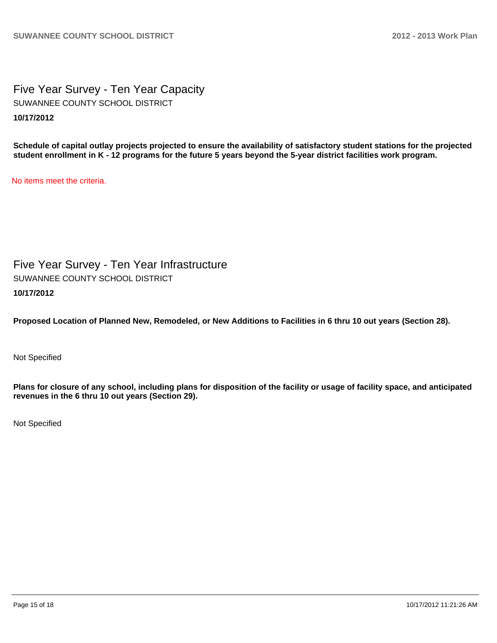Five Year Survey - Ten Year Capacity **10/17/2012** SUWANNEE COUNTY SCHOOL DISTRICT

**Schedule of capital outlay projects projected to ensure the availability of satisfactory student stations for the projected student enrollment in K - 12 programs for the future 5 years beyond the 5-year district facilities work program.**

No items meet the criteria.

Five Year Survey - Ten Year Infrastructure **10/17/2012** SUWANNEE COUNTY SCHOOL DISTRICT

**Proposed Location of Planned New, Remodeled, or New Additions to Facilities in 6 thru 10 out years (Section 28).**

Not Specified

**Plans for closure of any school, including plans for disposition of the facility or usage of facility space, and anticipated revenues in the 6 thru 10 out years (Section 29).**

Not Specified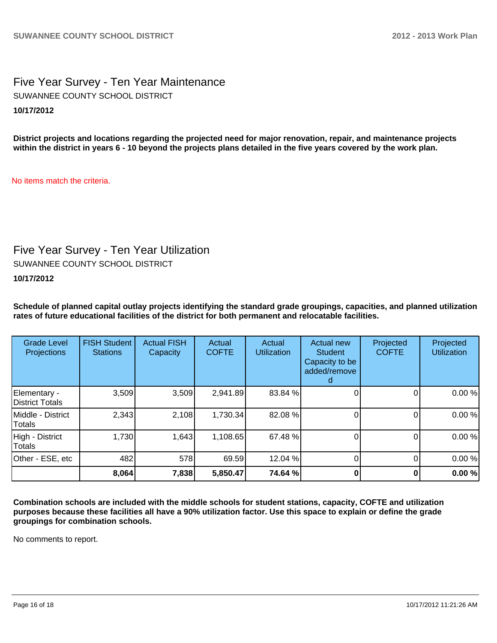Five Year Survey - Ten Year Maintenance **10/17/2012** SUWANNEE COUNTY SCHOOL DISTRICT

**District projects and locations regarding the projected need for major renovation, repair, and maintenance projects within the district in years 6 - 10 beyond the projects plans detailed in the five years covered by the work plan.**

No items match the criteria.

## Five Year Survey - Ten Year Utilization

SUWANNEE COUNTY SCHOOL DISTRICT

#### **10/17/2012**

**Schedule of planned capital outlay projects identifying the standard grade groupings, capacities, and planned utilization rates of future educational facilities of the district for both permanent and relocatable facilities.**

| <b>Grade Level</b><br>Projections | <b>FISH Student</b><br><b>Stations</b> | <b>Actual FISH</b><br>Capacity | Actual<br><b>COFTE</b> | Actual<br><b>Utilization</b> | Actual new<br><b>Student</b><br>Capacity to be<br>added/remove | Projected<br><b>COFTE</b> | Projected<br><b>Utilization</b> |
|-----------------------------------|----------------------------------------|--------------------------------|------------------------|------------------------------|----------------------------------------------------------------|---------------------------|---------------------------------|
| Elementary -<br>District Totals   | 3,509                                  | 3,509                          | 2,941.89               | 83.84 %                      |                                                                |                           | 0.00%                           |
| Middle - District<br>Totals       | 2,343                                  | 2,108                          | 1,730.34               | 82.08 %                      |                                                                |                           | 0.00%                           |
| High - District<br>Totals         | 1,730                                  | 1,643                          | 1,108.65               | 67.48 %                      |                                                                |                           | 0.00%                           |
| Other - ESE, etc                  | 482                                    | 578                            | 69.59                  | 12.04 %                      |                                                                |                           | 0.00%                           |
|                                   | 8,064                                  | 7,838                          | 5,850.47               | 74.64 %                      |                                                                |                           | 0.00%                           |

**Combination schools are included with the middle schools for student stations, capacity, COFTE and utilization purposes because these facilities all have a 90% utilization factor. Use this space to explain or define the grade groupings for combination schools.**

No comments to report.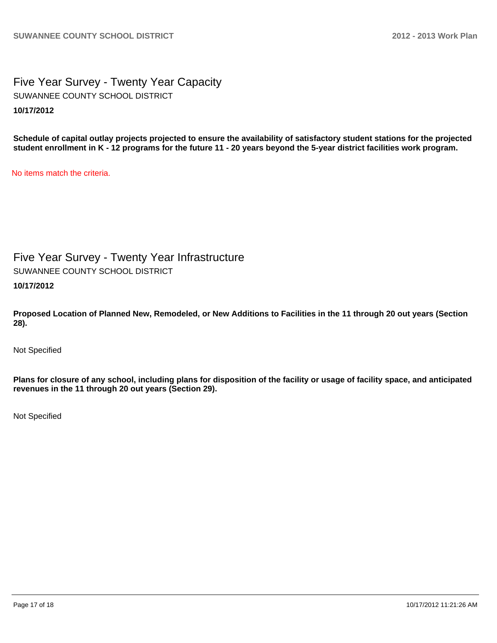Five Year Survey - Twenty Year Capacity **10/17/2012** SUWANNEE COUNTY SCHOOL DISTRICT

**Schedule of capital outlay projects projected to ensure the availability of satisfactory student stations for the projected student enrollment in K - 12 programs for the future 11 - 20 years beyond the 5-year district facilities work program.**

No items match the criteria.

Five Year Survey - Twenty Year Infrastructure

SUWANNEE COUNTY SCHOOL DISTRICT

**10/17/2012**

**Proposed Location of Planned New, Remodeled, or New Additions to Facilities in the 11 through 20 out years (Section 28).**

Not Specified

**Plans for closure of any school, including plans for disposition of the facility or usage of facility space, and anticipated revenues in the 11 through 20 out years (Section 29).**

Not Specified